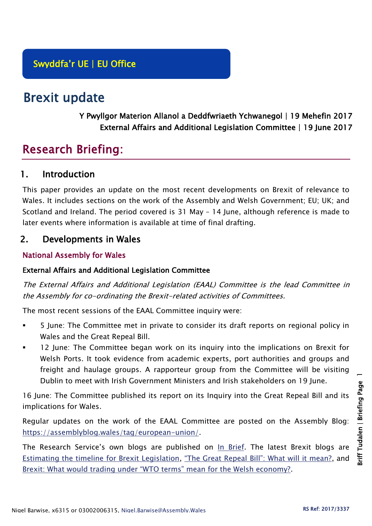# Brexit update

# Y Pwyllgor Materion Allanol a Deddfwriaeth Ychwanegol | 19 Mehefin 2017 External Affairs and Additional Legislation Committee | 19 June 2017

# Research Briefing:

# 1. Introduction

This paper provides an update on the most recent developments on Brexit of relevance to Wales. It includes sections on the work of the Assembly and Welsh Government; EU; UK; and Scotland and Ireland. The period covered is 31 May – 14 June, although reference is made to later events where information is available at time of final drafting.

# 2. Developments in Wales

# National Assembly for Wales

## External Affairs and Additional Legislation Committee

The External Affairs and Additional Legislation (EAAL) Committee is the lead Committee in the Assembly for co-ordinating the Brexit-related activities of Committees.

The most recent sessions of the EAAL Committee inquiry were:

- 5 June: The Committee met in private to consider its draft reports on regional policy in Wales and the Great Repeal Bill.
- 12 June: The Committee began work on its inquiry into the implications on Brexit for Welsh Ports. It took evidence from academic experts, port authorities and groups and freight and haulage groups. A rapporteur group from the Committee will be visiting Dublin to meet with Irish Government Ministers and Irish stakeholders on 19 June.

16 June: The Committee published its report on its Inquiry into the Great Repeal Bill and its implications for Wales.

Regular updates on the work of the EAAL Committee are posted on the Assembly Blog: [https://assemblyblog.wales/tag/european-union/.](https://assemblyblog.wales/tag/european-union/)

The Research Service's own blogs are published on [In Brief.](https://assemblyinbrief.wordpress.com/) The latest Brexit blogs are [Estimating the timeline for Brexit Legislation,](https://assemblyinbrief.wordpress.com/2017/04/25/estimating-the-timeline-for-brexit-legislation/) ["The Great Repeal Bill": What will it mean?](https://assemblyinbrief.wordpress.com/2017/04/10/the-great-repeal-bill-what-will-it-mean/), and [Brexit: What would trading under "WTO terms" mean for the Welsh economy?](https://assemblyinbrief.wordpress.com/2017/04/07/brexit-what-would-trading-under-wto-terms-mean-for-the-welsh-economy/).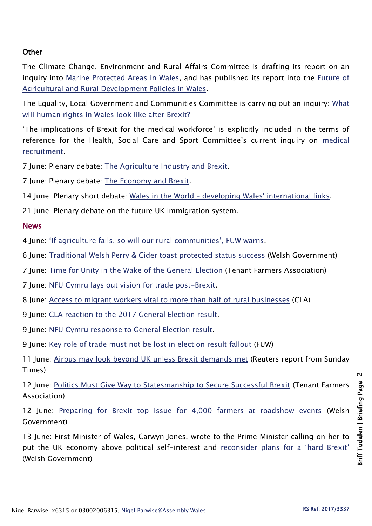### **Other**

The Climate Change, Environment and Rural Affairs Committee is drafting its report on an inquiry into [Marine Protected Areas in Wales,](http://senedd.assembly.wales/mgIssueHistoryHome.aspx?IId=16663) and has published its report into the *Future of* [Agricultural and Rural Development Policies in Wales.](http://senedd.assembly.wales/mgIssueHistoryHome.aspx?IId=15876)

The Equality, Local Government and Communities Committee is carrying out an inquiry: [What](http://senedd.assembly.wales/mgConsultationDisplay.aspx?id=244&RPID=1008299204&cp=yes)  [will human rights in Wales look like after Brexit?](http://senedd.assembly.wales/mgConsultationDisplay.aspx?id=244&RPID=1008299204&cp=yes)

'The implications of Brexit for the medical workforce' is explicitly included in the terms of reference for the Health, Social Care and Sport Committee's current inquiry on [medical](http://senedd.assembly.wales/mgIssueHistoryHome.aspx?IId=16122)  [recruitment.](http://senedd.assembly.wales/mgIssueHistoryHome.aspx?IId=16122)

7 June: Plenary debate: [The Agriculture Industry and Brexit.](http://www.assembly.wales/en/bus-home/pages/rop.aspx?meetingid=4295&assembly=5&c=Record%20of%20Proceedings#477893)

7 June: Plenary debate: [The Economy and Brexit.](http://www.assembly.wales/en/bus-home/pages/rop.aspx?meetingid=4295&assembly=5&c=Record%20of%20Proceedings#477959)

14 June: Plenary short debate: Wales in the World – [developing Wales' international links.](http://www.assembly.wales/en/bus-home/pages/rop.aspx?meetingid=4297&assembly=5&c=Record%20of%20Proceedings#480686)

21 June: Plenary debate on the future UK immigration system.

#### News

4 June: ['If agriculture fails, so will our rural communities', FUW warns](http://fuw.org.uk/if-agriculture-fails-so-will-our-rural-communities-fuw-warns/).

- 6 June: [Traditional Welsh Perry & Cider toast protected status success](http://gov.wales/newsroom/environmentandcountryside/2017/170606-traditional-welsh-perry-cider-toast-protected-status-success/?lang=en) (Welsh Government)
- 7 June: [Time for Unity in the Wake of the General Election](http://www.tfa.org.uk/tfa-media-release-1715-welsh-government-sorts-out-landlords-and-tenants-responsibilities-2/) (Tenant Farmers Association)

7 June: NFU Cymru lays out [vision for trade post-Brexit.](https://www.nfu-cymru.org.uk/news/latest-news/nfu-cymru-lays-out-vision-for-trade-post-brexit/)

- 8 June: [Access to migrant workers vital to more than half of rural businesses](http://www.cla.org.uk/node/10704) (CLA)
- 9 June: [CLA reaction to the 2017 General Election result.](http://www.cla.org.uk/influence/all-news/cla-reaction-2017-general-election-result)
- 9 June: [NFU Cymru response to General Election result.](https://www.nfu-cymru.org.uk/news/latest-news/nfu-cymru-response-to-general-election-result/)

9 June: [Key role of trade must not be lost in election result fallout](http://fuw.org.uk/key-role-of-trade-must-not-be-lost-in-election-result-fallout/) (FUW)

11 June: [Airbus may look beyond UK unless Brexit demands met](https://www.reuters.com/article/us-britain-eu-airbus-idUSKBN19200C) (Reuters report from Sunday Times)

12 June: [Politics Must Give Way to Statesmanship to Secure Successful Brexit](http://www.tfa.org.uk/tfa-media-release-1716-politics-must-give-way-to-statesmanship-to-secure-successful-brexit/) (Tenant Farmers Association)

12 June: [Preparing for Brexit top issue for 4,000 farmers at roadshow events](http://gov.wales/newsroom/environmentandcountryside/2017/170612-more-than-4,000-farmers-in-wales-urged-to-prepare-for-brexit/?lang=en) (Welsh Government)

13 June: First Minister of Wales, Carwyn Jones, wrote to the Prime Minister calling on her to put the UK economy above political self-interest and [reconsider plans for a 'hard Brexit'](http://gov.wales/newsroom/firstminister/2017/170613-prime-minister-must-not-gamble-with-livelihoods/?lang=en) (Welsh Government)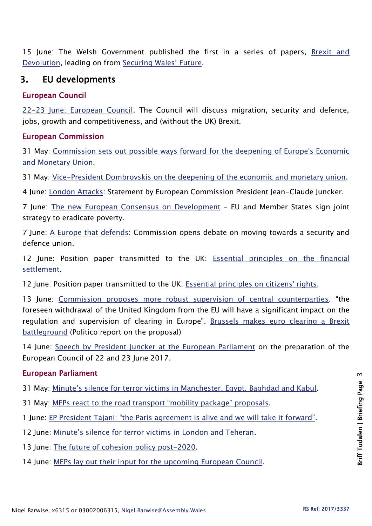15 June: The Welsh Government published the first in a series of papers, [Brexit and](https://beta.gov.wales/sites/default/files/2017-06/170615-brexit%20and%20devolution%20%28en%29.pdf)  [Devolution,](https://beta.gov.wales/sites/default/files/2017-06/170615-brexit%20and%20devolution%20%28en%29.pdf) leading on from [Securing Wales' Future](https://beta.gov.wales/sites/default/files/2017-02/31139%20Securing%20Wales%C2%B9%20Future_Version%202_WEB.pdf).

# 3. EU developments

## European Council

[22-23 June: European Council.](http://www.consilium.europa.eu/en/meetings/european-council/2017/06/22-23/) The Council will discuss migration, security and defence, jobs, growth and competitiveness, and (without the UK) Brexit.

## European Commission

31 May: [Commission sets out possible ways forward for the deepening of Europe's Economic](http://europa.eu/rapid/press-release_IP-17-1454_en.htm)  [and Monetary Union.](http://europa.eu/rapid/press-release_IP-17-1454_en.htm)

31 May: [Vice-President Dombrovskis on the deepening of the economic and monetary union.](http://europa.eu/rapid/press-release_SPEECH-17-1478_en.htm)

4 June: [London Attacks:](http://europa.eu/rapid/press-release_STATEMENT-17-1540_en.htm) Statement by European Commission President Jean-Claude Juncker.

7 June: [The new European Consensus on Development](http://europa.eu/rapid/press-release_IP-17-1503_en.htm) – EU and Member States sign joint strategy to eradicate poverty.

7 June: A [Europe that defends:](http://europa.eu/rapid/press-release_IP-17-1516_en.htm) Commission opens debate on moving towards a security and defence union.

12 June: Position paper transmitted to the UK: [Essential principles on the financial](https://ec.europa.eu/commission/sites/beta-political/files/essential-principles-financial_settlement_en_0.pdf)  [settlement.](https://ec.europa.eu/commission/sites/beta-political/files/essential-principles-financial_settlement_en_0.pdf)

12 June: Position paper transmitted to the UK: [Essential principles on citizens' rights.](https://ec.europa.eu/commission/sites/beta-political/files/essential-principles-citizens-rights_en_0.pdf)

13 June: [Commission proposes more robust supervision of central counterparties](http://europa.eu/rapid/press-release_IP-17-1568_en.htm). "the foreseen withdrawal of the United Kingdom from the EU will have a significant impact on the regulation and supervision of clearing in Europe". Brussels makes euro clearing a Brexit [battleground](http://www.politico.eu/article/brussels-makes-euro-clearing-a-brexit-battleground/) (Politico report on the proposal)

14 June: [Speech by President Juncker at the European Parliament](http://europa.eu/rapid/press-release_SPEECH-17-1644_en.htm) on the preparation of the European Council of 22 and 23 June 2017.

## European Parliament

31 May: [Minute's silence for terror victims in Manchester, Egypt, Baghdad and Kabul](http://www.europarl.europa.eu/news/en/press-room/20170529IPR76230/minute-s-silence-for-terror-victims-in-manchester-egypt-baghdad-and-kabul).

31 May: [MEPs react to the road transport "mobility package" proposals](http://www.europarl.europa.eu/news/en/press-room/20170529IPR76232/meps-react-to-the-road-transport-mobility-package-proposals).

1 June: [EP President Tajani: "the Paris agreement is alive and we will take it forward"](http://www.europarl.europa.eu/news/en/press-room/20170601IPR76521/ep-president-tajani-the-paris-agreement-is-alive-and-we-will-take-it-forward).

- 12 June: [Minute's silence for terror victims in London and Teheran](http://www.europarl.europa.eu/news/en/press-room/20170608IPR76943/opening-minute-s-silence-for-terror-victims-in-london-and-teheran).
- 13 June: [The future of cohesion policy post-2020.](http://www.europarl.europa.eu/news/en/press-room/20170609IPR77007/the-future-of-cohesion-policy-post-2020)
- 14 June: [MEPs lay out their input for the upcoming European Council.](http://www.europarl.europa.eu/news/en/press-room/20170609IPR77021/meps-lay-out-their-input-for-the-upcoming-european-council)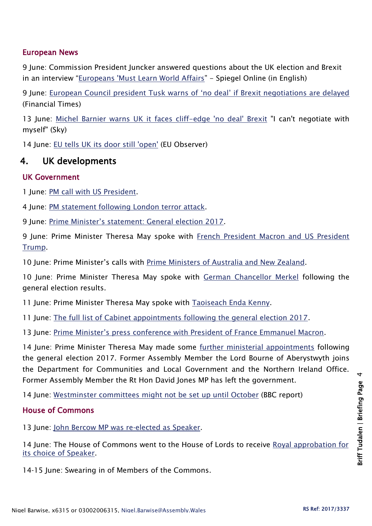### European News

9 June: Commission President Juncker answered questions about the UK election and Brexit in an interview "[Europeans 'Must Learn World Affairs](http://www.spiegel.de/international/europe/juncker-interview-europeans-must-learn-world-affairs-a-1151422.html)" - Spiegel Online (in English)

9 June: European Council president Tusk w[arns of 'no deal' if Brexit negotiations are delayed](https://www.ft.com/content/aa7ee078-8b7f-3b0e-97ce-edfd5c3d60c7?mhq5j=e2) (Financial Times)

13 June: [Michel Barnier warns UK it faces cliff-edge 'no deal' Brexit](http://news.sky.com/story/michel-barnier-warns-uk-it-faces-cliff-edge-no-deal-brexit-10913909) "I can't negotiate with myself" (Sky)

14 June: [EU tells UK its door still 'open'](https://euobserver.com/uk-referendum/138224) (EU Observer)

# 4. UK developments

#### UK Government

1 June: [PM call with US President.](https://www.gov.uk/government/news/pm-call-with-us-president-1-june-2017)

4 June: [PM statement following London terror attack.](https://www.gov.uk/government/speeches/pm-statement-following-london-terror-attack-4-june-2017)

9 June: [Prime Minister's statement: General election 2017](https://www.gov.uk/government/speeches/pm-statement-general-election-2017).

9 June: Prime Minister Theresa May spoke with French President Macron and US President [Trump.](https://www.gov.uk/government/news/pm-calls-with-world-leaders-9-june-2017)

10 June: Prime Minister's calls with [Prime Ministers of Australia and New Zealand.](https://www.gov.uk/government/news/pm-calls-with-prime-ministers-of-australia-and-new-zealand-10-june-2017)

10 June: Prime Minister Theresa May spoke with [German Chancellor Merkel](https://www.gov.uk/government/news/pm-call-with-chancellor-merkel-10-june-2017) following the general election results.

11 June: Prime Minister Theresa May spoke with [Taoiseach Enda Kenny.](https://www.gov.uk/government/news/pm-call-with-taoiseach-enda-kenny-11-june-2017)

11 June: [The full list of Cabinet appointments following the general election 2017.](https://www.gov.uk/government/news/election-2017-prime-minister-and-ministerial-appointments)

13 June: [Prime Minister's press conference with President of France Emmanuel Macron](https://www.gov.uk/government/speeches/pm-press-conference-with-president-of-france-emmanuel-macron-13-june-2017).

14 June: Prime Minister Theresa May made some [further ministerial appointments](https://www.gov.uk/government/news/election-2017-ministerial-appointments) following the general election 2017. Former Assembly Member the Lord Bourne of Aberystwyth joins the Department for Communities and Local Government and the Northern Ireland Office. Former Assembly Member the Rt Hon David Jones MP has left the government.

14 June: [Westminster committees might not be set up until October](http://www.bbc.co.uk/news/uk-politics-parliaments-40273923) (BBC report)

## House of Commons

13 June: [John Bercow MP was re-elected as Speaker.](https://hansard.parliament.uk/commons/2017-06-13/debates/EC97CC8B-CEAB-4D1D-8AEE-12D83E9E0253/ElectionOfSpeaker)

14 June: The House of Commons went to the House of Lords to receive Royal approbation for [its choice of Speaker.](https://hansard.parliament.uk/Lords/2017-06-14/debates/18BD0DC5-0939-4AAB-9253-B7400F178A82/SpeakerOfTheHouseOfCommons)

14-15 June: Swearing in of Members of the Commons.

 $\overline{a}$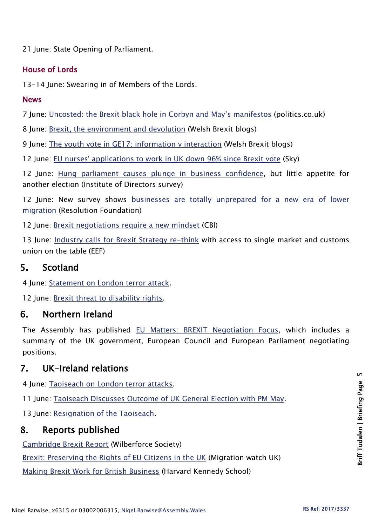21 June: State Opening of Parliament.

## House of Lords

13-14 June: Swearing in of Members of the Lords.

#### News

7 June: [Uncosted: the Brexit black hole in Corbyn and May's manifestos](http://www.politics.co.uk/blogs/2017/06/07/uncosted-the-brexit-black-hole-in-corbyn-and-may-s-manifesto) (politics.co.uk)

8 June: [Brexit, the environment and devolution](http://blogs.cardiff.ac.uk/brexit/2017/06/08/brexit-the-environment-and-devolution/) (Welsh Brexit blogs)

9 June: [The youth vote in GE17: information v interaction](http://blogs.cardiff.ac.uk/brexit/2017/06/09/the-youth-vote-in-ge17-information-vs-interaction/) (Welsh Brexit blogs)

12 June: [EU nurses' applications to work in UK down 96% since Brexit vote](http://news.sky.com/story/applications-from-eu-nurses-to-work-in-uk-down-96-since-brexit-vote-10913295) (Sky)

12 June: [Hung parliament causes plunge in business confidence,](https://www.iod.com/news-campaigns/news/articles/Hung-parliament-causes-plunge-in-business-confidence-but-little-appetite-for-another-election) but little appetite for another election (Institute of Directors survey)

12 June: New survey shows [businesses are totally unprepared for a new era of lower](http://www.resolutionfoundation.org/media/press-releases/new-survey-shows-businesses-are-totally-unprepared-for-a-new-era-of-lower-migration/)  [migration](http://www.resolutionfoundation.org/media/press-releases/new-survey-shows-businesses-are-totally-unprepared-for-a-new-era-of-lower-migration/) (Resolution Foundation)

12 June: [Brexit negotiations require a new mindset](http://www.cbi.org.uk/news/brexit-negotiations-require-a-new-mindset/) (CBI)

13 June: [Industry calls for Brexit Strategy re-think](https://www.eef.org.uk/about-eef/media-news-and-insights/media-releases/2017/jun/industry-calls-for-brexit-strategy-rethink) with access to single market and customs union on the table (EEF)

# 5. Scotland

4 June: [Statement on London terror attack.](https://news.gov.scot/speeches-and-briefings/statement-on-london-terror-attack)

12 June: [Brexit threat to disability rights.](https://news.gov.scot/news/brexit-threat-to-disability-rights)

# 6. Northern Ireland

The Assembly has published [EU Matters: BREXIT Negotiation Focus,](http://www.niassembly.gov.uk/assembly-business/eu-matters/newsletters/issue-012017/) which includes a summary of the UK government, European Council and European Parliament negotiating positions.

# 7. UK-Ireland relations

4 June: [Taoiseach on London terror attacks.](http://www.merrionstreet.ie/en/News-Room/News/Statement_from_An_Taoiseach_Enda_Kenny_following_London_terror_attacks.html)

11 June: [Taoiseach Discusses Outcome of UK General Election with PM May.](http://www.merrionstreet.ie/en/News-Room/News/Statement_from_the_Government_Press_Office1.html)

13 June: [Resignation of the Taoiseach.](http://www.merrionstreet.ie/en/News-Room/News/Resignation_of_the_Taoiseach.html)

# 8. Reports published

[Cambridge Brexit Report](http://thewilberforcesociety.co.uk/policy-papers/the-cambridge-brexit-report-2/) (Wilberforce Society)

[Brexit: Preserving the Rights of EU Citizens in the UK](https://www.migrationwatchuk.org/pdfs/MW412-brexit-preserving-the-rights-of-eu-citizens-in-the-uk.pdf) (Migration watch UK)

[Making Brexit Work for British Business](https://www.hks.harvard.edu/content/download/83686/1876228/version/1/file/MBWFBB1106+Final+jax%5B1%5D.pdf) (Harvard Kennedy School)